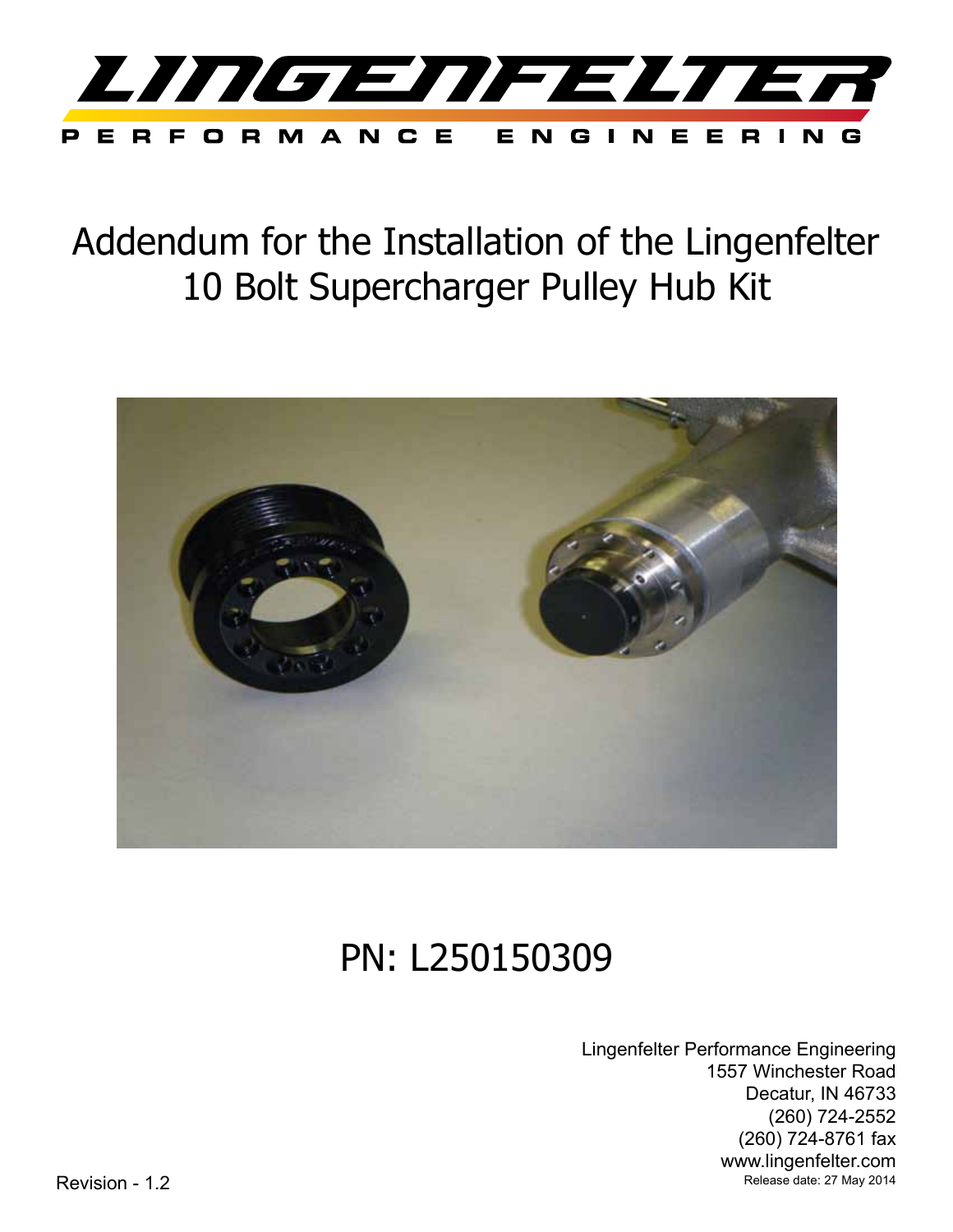

Addendum for the Installation of the Lingenfelter 10 Bolt Supercharger Pulley Hub Kit



# PN: L250150309

Lingenfelter Performance Engineering 1557 Winchester Road Decatur, IN 46733 (260) 724-2552 (260) 724-8761 fax www.lingenfelter.com Revision - 1.2 **Revision - 1.2** Release date: 27 May 2014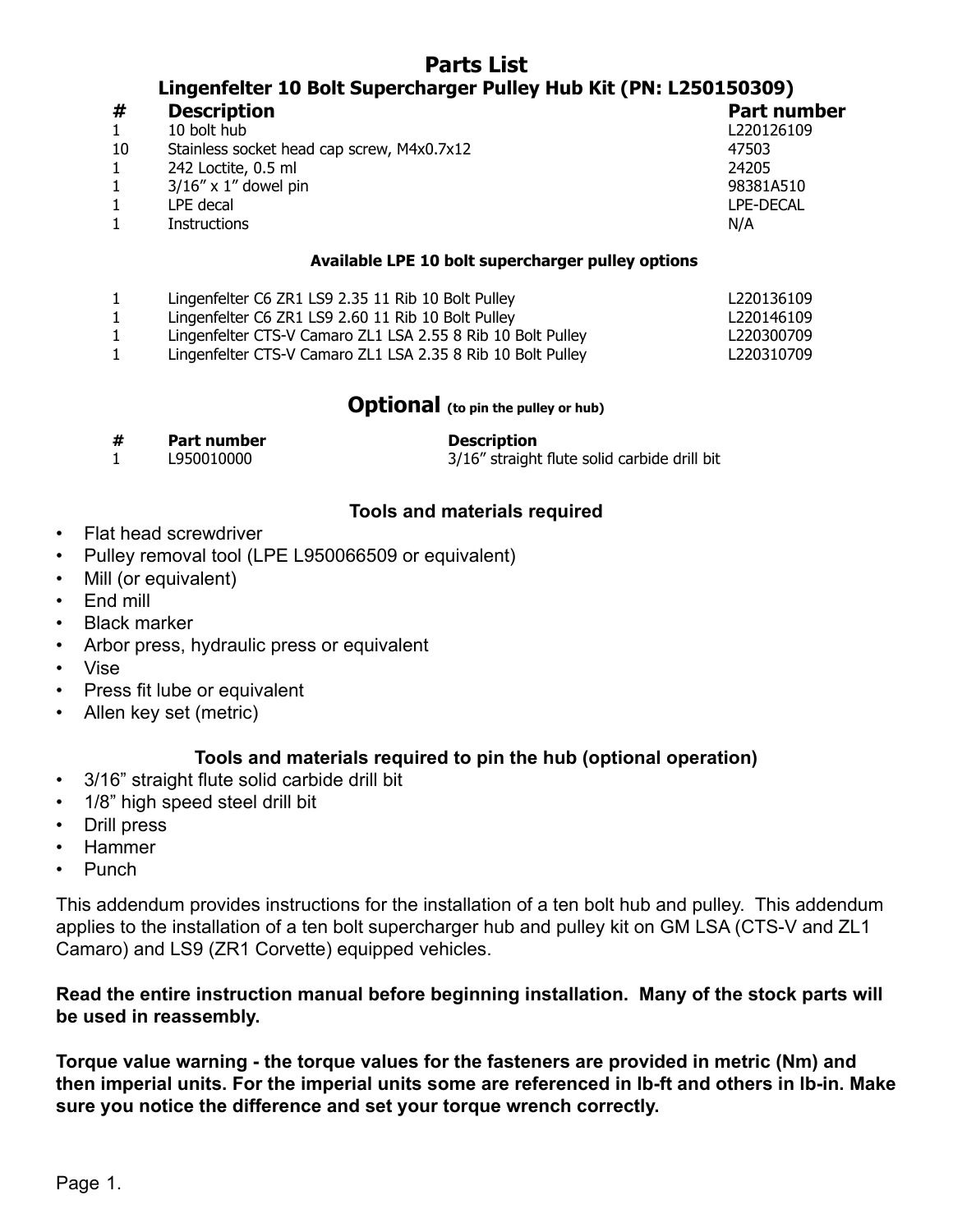# **Parts List Lingenfelter 10 Bolt Supercharger Pulley Hub Kit (PN: L250150309)**

| #  | <b>Description</b>                         | Part number      |
|----|--------------------------------------------|------------------|
|    | 10 bolt hub                                | L220126109       |
| 10 | Stainless socket head cap screw, M4x0.7x12 | 47503            |
|    | 242 Loctite, 0.5 ml                        | 24205            |
|    | $3/16''$ x 1" dowel pin                    | 98381A510        |
|    | LPE decal                                  | <b>LPE-DECAL</b> |
|    | <b>Instructions</b>                        | N/A              |
|    |                                            |                  |

#### **Available LPE 10 bolt supercharger pulley options**

|  |  |  |  |  | Lingenfelter C6 ZR1 LS9 2.35 11 Rib 10 Bolt Pulley |
|--|--|--|--|--|----------------------------------------------------|
|--|--|--|--|--|----------------------------------------------------|

1 Lingenfelter C6 ZR1 LS9 2.60 11 Rib 10 Bolt Pulley L220146109

1 Lingenfelter CTS-V Camaro ZL1 LSA 2.55 8 Rib 10 Bolt Pulley L220300709

1 Lingenfelter CTS-V Camaro ZL1 LSA 2.35 8 Rib 10 Bolt Pulley L220310709

# **Optional** (to pin the pulley or hub)

**# Part number Description**

1 L950010000 3/16" straight flute solid carbide drill bit

L220136109

#### **Tools and materials required**

- Flat head screwdriver
- Pulley removal tool (LPE L950066509 or equivalent)
- Mill (or equivalent)
- End mill
- Black marker
- Arbor press, hydraulic press or equivalent
- Vise
- Press fit lube or equivalent
- Allen key set (metric)

#### **Tools and materials required to pin the hub (optional operation)**

- 3/16" straight flute solid carbide drill bit
- 1/8" high speed steel drill bit
- Drill press
- Hammer
- Punch

This addendum provides instructions for the installation of a ten bolt hub and pulley. This addendum applies to the installation of a ten bolt supercharger hub and pulley kit on GM LSA (CTS-V and ZL1 Camaro) and LS9 (ZR1 Corvette) equipped vehicles.

# **Read the entire instruction manual before beginning installation. Many of the stock parts will be used in reassembly.**

**Torque value warning - the torque values for the fasteners are provided in metric (Nm) and then imperial units. For the imperial units some are referenced in lb-ft and others in lb-in. Make sure you notice the difference and set your torque wrench correctly.**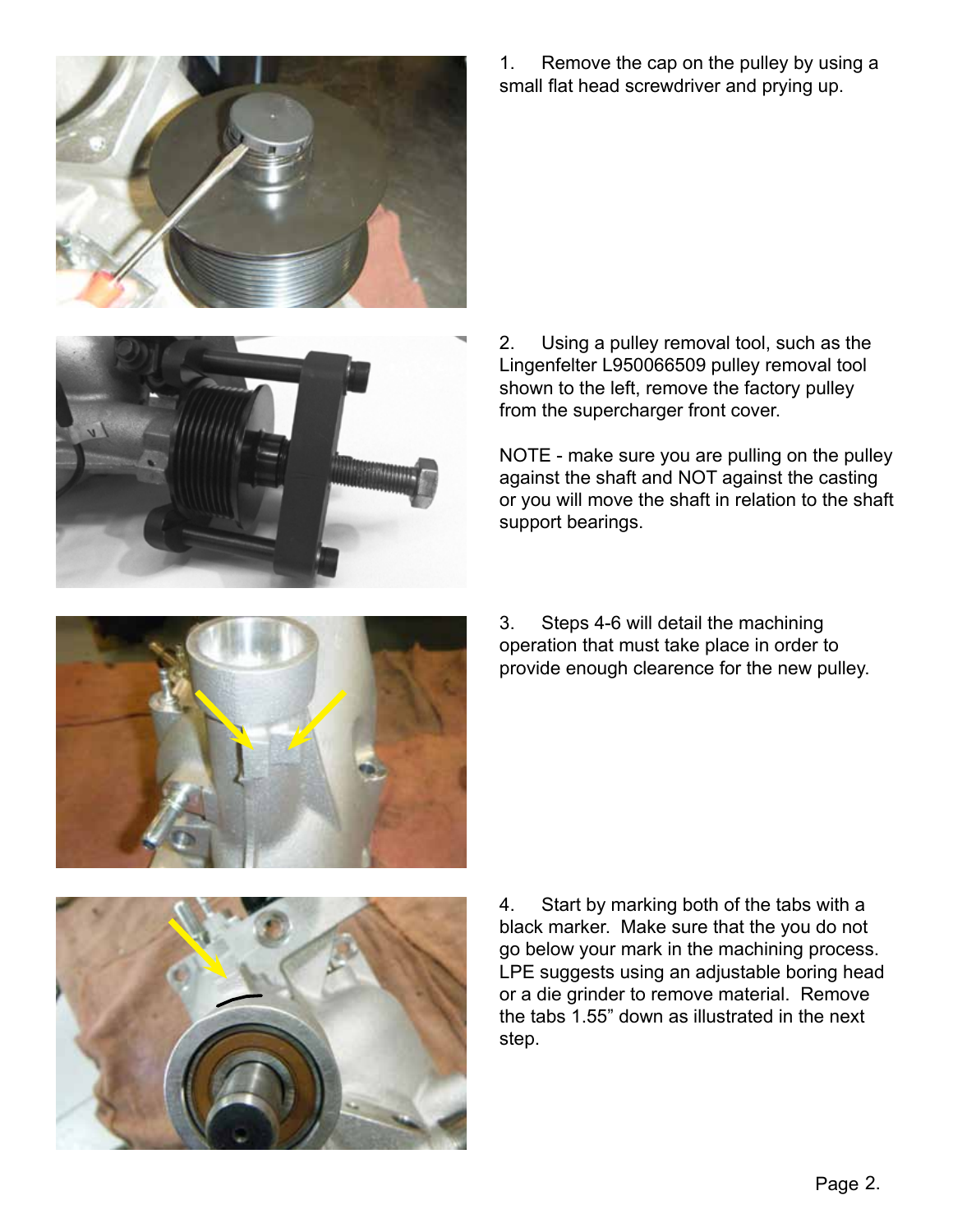

1. Remove the cap on the pulley by using a small flat head screwdriver and prying up.



2. Using a pulley removal tool, such as the Lingenfelter L950066509 pulley removal tool shown to the left, remove the factory pulley from the supercharger front cover.

NOTE - make sure you are pulling on the pulley against the shaft and NOT against the casting or you will move the shaft in relation to the shaft support bearings.



3. Steps 4-6 will detail the machining operation that must take place in order to provide enough clearence for the new pulley.



4. Start by marking both of the tabs with a black marker. Make sure that the you do not go below your mark in the machining process. LPE suggests using an adjustable boring head or a die grinder to remove material. Remove the tabs 1.55" down as illustrated in the next step.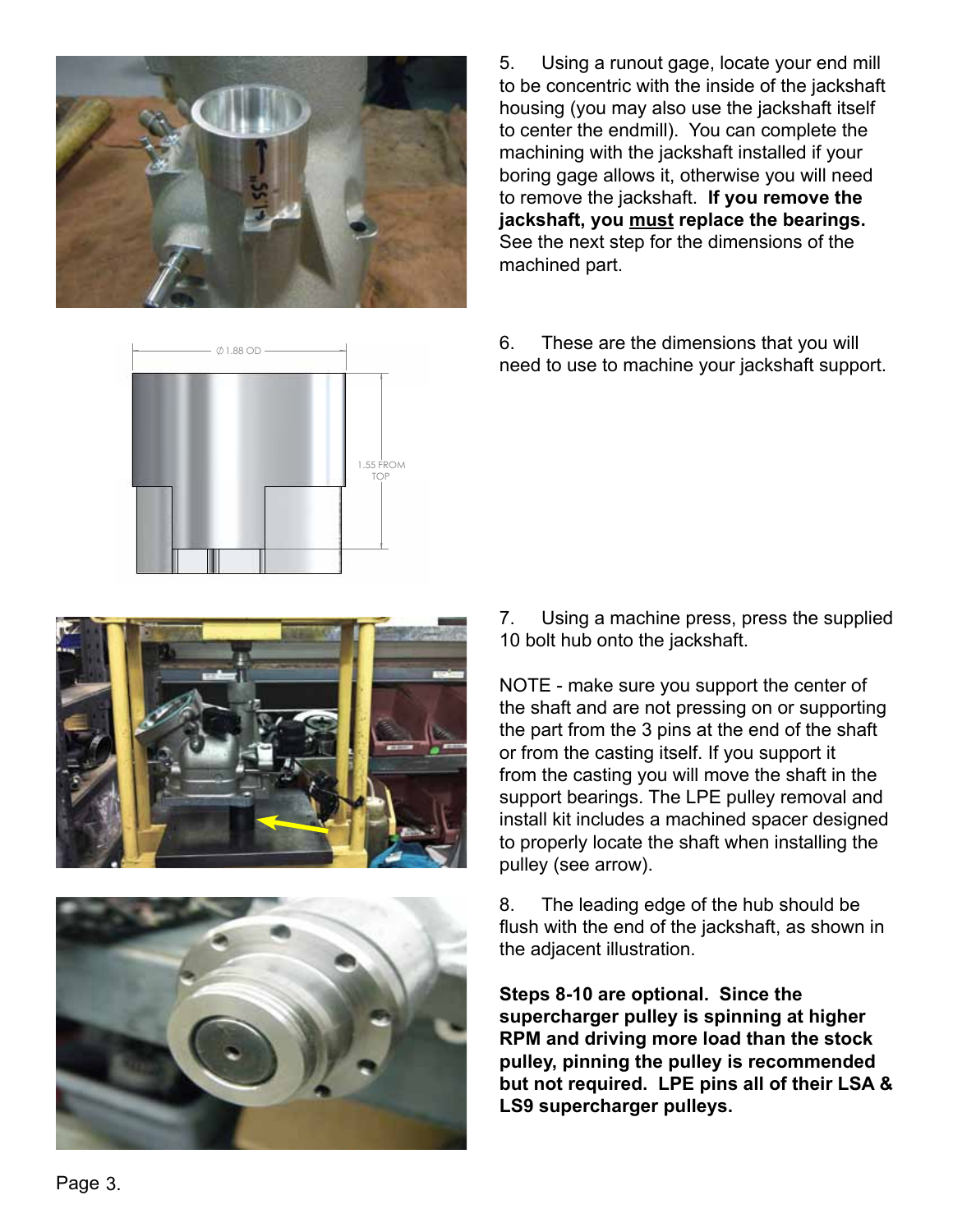

5. Using a runout gage, locate your end mill to be concentric with the inside of the jackshaft housing (you may also use the jackshaft itself to center the endmill). You can complete the machining with the jackshaft installed if your boring gage allows it, otherwise you will need to remove the jackshaft. **If you remove the jackshaft, you must replace the bearings.**  See the next step for the dimensions of the machined part.

6. These are the dimensions that you will need to use to machine your jackshaft support.







7. Using a machine press, press the supplied 10 bolt hub onto the jackshaft.

**A REV. REV. THE SHEET 1 OF 1999 IN SHEET 1 OF 1999 IN SHEET 1 OF 1999 IN SHEET 1.** NOTE - make sure you support the center of the part from the 3 pins at the end of the shaft or from the casting itself. If you support it from the casting you will move the shaft in the support bearings. The LPE pulley removal and install kit includes a machined spacer designed to properly locate the shaft when installing the pulley (see arrow).

> 8. The leading edge of the hub should be flush with the end of the jackshaft, as shown in the adjacent illustration.

**Steps 8-10 are optional. Since the supercharger pulley is spinning at higher RPM and driving more load than the stock pulley, pinning the pulley is recommended but not required. LPE pins all of their LSA & LS9 supercharger pulleys.**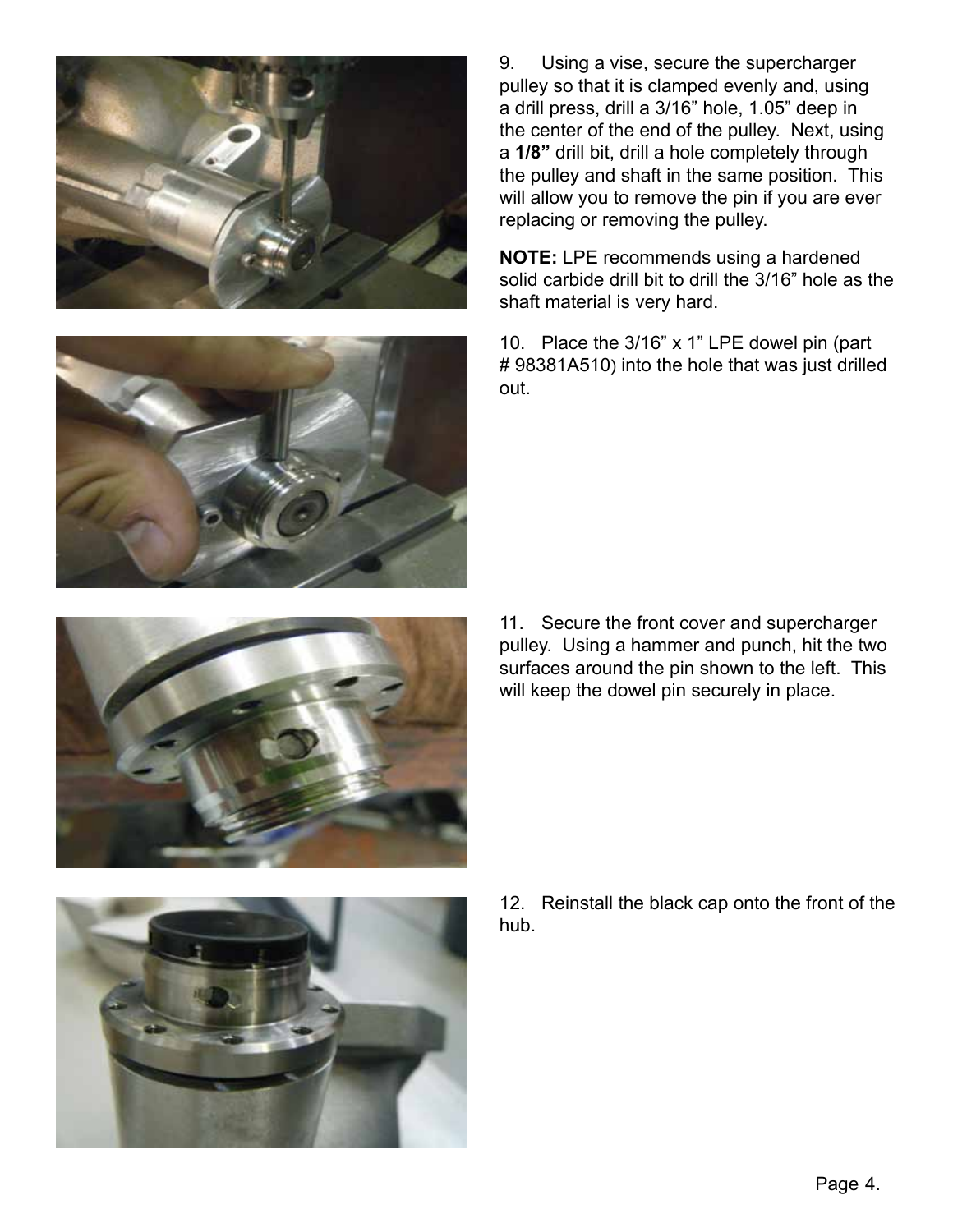



**NOTE:** LPE recommends using a hardened solid carbide drill bit to drill the 3/16" hole as the shaft material is very hard.

10. Place the 3/16" x 1" LPE dowel pin (part # 98381A510) into the hole that was just drilled out.



11. Secure the front cover and supercharger pulley. Using a hammer and punch, hit the two surfaces around the pin shown to the left. This will keep the dowel pin securely in place.



12. Reinstall the black cap onto the front of the hub.